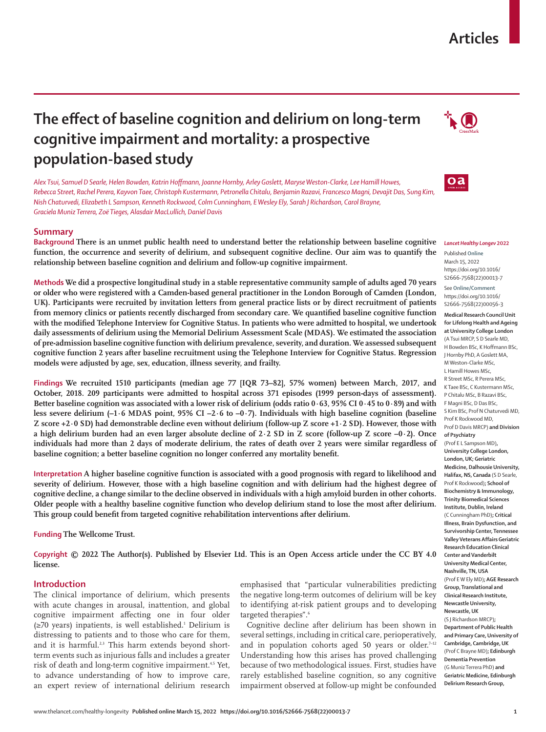# **Articles**

# **The effect of baseline cognition and delirium on long-term cognitive impairment and mortality: a prospective population-based study**

*Alex Tsui, Samuel D Searle, Helen Bowden, Katrin Hoffmann, Joanne Hornby, Arley Goslett, Maryse Weston-Clarke, Lee Hamill Howes, Rebecca Street, Rachel Perera, Kayvon Taee, Christoph Kustermann, Petronella Chitalu, Benjamin Razavi, Francesco Magni, Devajit Das, Sung Kim, Nish Chaturvedi, Elizabeth L Sampson, Kenneth Rockwood, Colm Cunningham, E Wesley Ely, Sarah J Richardson, Carol Brayne, Graciela Muniz Terrera, Zoë Tieges, Alasdair MacLullich, Daniel Davis*

# **Summary**

**Background There is an unmet public health need to understand better the relationship between baseline cognitive function, the occurrence and severity of delirium, and subsequent cognitive decline. Our aim was to quantify the relationship between baseline cognition and delirium and follow-up cognitive impairment.**

**Methods We did a prospective longitudinal study in a stable representative community sample of adults aged 70 years or older who were registered with a Camden-based general practitioner in the London Borough of Camden (London, UK). Participants were recruited by invitation letters from general practice lists or by direct recruitment of patients from memory clinics or patients recently discharged from secondary care. We quantified baseline cognitive function with the modified Telephone Interview for Cognitive Status. In patients who were admitted to hospital, we undertook daily assessments of delirium using the Memorial Delirium Assessment Scale (MDAS). We estimated the association of pre-admission baseline cognitive function with delirium prevalence, severity, and duration. We assessed subsequent cognitive function 2 years after baseline recruitment using the Telephone Interview for Cognitive Status. Regression models were adjusted by age, sex, education, illness severity, and frailty.**

**Findings We recruited 1510 participants (median age 77 [IQR 73–82], 57% women) between March, 2017, and October, 2018. 209 participants were admitted to hospital across 371 episodes (1999 person-days of assessment). Better baseline cognition was associated with a lower risk of delirium (odds ratio 0·63, 95% CI 0·45 to 0·89) and with less severe delirium (–1·6 MDAS point, 95% CI –2·6 to –0·7). Individuals with high baseline cognition (baseline Z score +2·0 SD) had demonstrable decline even without delirium (follow-up Z score +1·2 SD). However, those with a high delirium burden had an even larger absolute decline of 2·2 SD in Z score (follow-up Z score –0·2). Once individuals had more than 2 days of moderate delirium, the rates of death over 2 years were similar regardless of baseline cognition; a better baseline cognition no longer conferred any mortality benefit.**

**Interpretation A higher baseline cognitive function is associated with a good prognosis with regard to likelihood and severity of delirium. However, those with a high baseline cognition and with delirium had the highest degree of cognitive decline, a change similar to the decline observed in individuals with a high amyloid burden in other cohorts. Older people with a healthy baseline cognitive function who develop delirium stand to lose the most after delirium. This group could benefit from targeted cognitive rehabilitation interventions after delirium.**

**Funding The Wellcome Trust.**

**Copyright © 2022 The Author(s). Published by Elsevier Ltd. This is an Open Access article under the CC BY 4.0 license.**

# **Introduction**

The clinical importance of delirium, which presents with acute changes in arousal, inattention, and global cognitive impairment affecting one in four older (≥70 years) inpatients, is well established.1 Delirium is distressing to patients and to those who care for them, and it is harmful.<sup>2,3</sup> This harm extends beyond shortterm events such as injurious falls and includes a greater risk of death and long-term cognitive impairment.<sup>4,5</sup> Yet, to advance understanding of how to improve care, an expert review of international delirium research

emphasised that "particular vulnerabilities predicting the negative long-term outcomes of delirium will be key to identifying at-risk patient groups and to developing targeted therapies".<sup>6</sup>

Cognitive decline after delirium has been shown in several settings, including in critical care, perioperatively, and in population cohorts aged 50 years or older.7-12 Understanding how this arises has proved challenging because of two methodological issues. First, studies have rarely established baseline cognition, so any cognitive impairment observed at follow-up might be confounded





#### *Lancet Healthy Longev* **2022**

Published **Online** March 15, 2022 https://doi.org/10.1016/ S2666-7568(22)00013-7

See **Online/Comment** https://doi.org/10.1016/ S2666-7568(22)00056-3

**Medical Research Council Unit for Lifelong Health and Ageing at University College London**  (A Tsui MRCP, S D Searle MD, H Bowden BSc, K Hoffmann BSc, J Hornby PhD, A Goslett MA, M Weston-Clarke MSc, L Hamill Howes MSc, R Street MSc, R Perera MSc, K Taee BSc, C Kustermann MSc, P Chitalu MSc, B Razavi BSc, F Magni BSc, D Das BSc, S Kim BSc, Prof N Chaturvedi MD, Prof K Rockwood MD, Prof D Davis MRCP) **and Division of Psychiatry**  (Prof E L Sampson MD)**, University College London, London, UK; Geriatric Medicine, Dalhousie University, Halifax, NS, Canada** (S D Searle, Prof K Rockwood)**; School of Biochemistry & Immunology, Trinity Biomedical Sciences Institute, Dublin, Ireland** (C Cunningham PhD)**; Critical Illness, Brain Dysfunction, and Survivorship Center, Tennessee Valley Veterans Affairs Geriatric Research Education Clinical Center and Vanderbilt University Medical Center, Nashville, TN, USA** (Prof E W Ely MD)**; AGE Research Group, Translational and Clinical Research Institute, Newcastle University, Newcastle, UK** (S J Richardson MRCP)**; Department of Public Health and Primary Care, University of Cambridge, Cambridge, UK** (Prof C Brayne MD)**; Edinburgh Dementia Prevention**  (G Muniz Terrera PhD) **and Geriatric Medicine, Edinburgh Delirium Research Group,**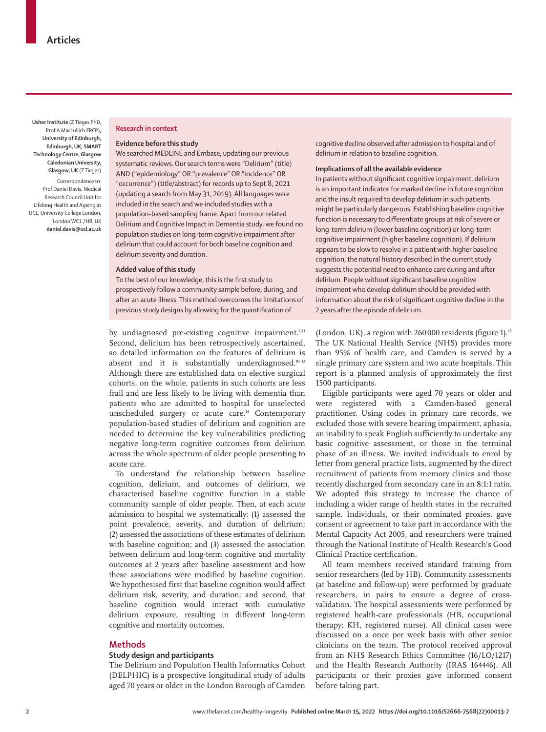**Usher Institute** (Z Tieges PhD, Prof A MacLullich FRCP)**, University of Edinburgh, Edinburgh, UK; SMART Technology Centre, Glasgow Caledonian University, Glasgow, UK** (Z Tieges)

Correspondence to: Prof Daniel Davis, Medical Research Council Unit for Lifelong Health and Ageing at UCL, University College London, London WC1 7HB, UK **daniel.davis@ucl.ac.uk**

# **Research in context**

### **Evidence before this study**

We searched MEDLINE and Embase, updating our previous systematic reviews. Our search terms were "Delirium" (title) AND ("epidemiology" OR "prevalence" OR "incidence" OR "occurrence") (title/abstract) for records up to Sept 8, 2021 (updating a search from May 31, 2019). All languages were included in the search and we included studies with a population-based sampling frame. Apart from our related Delirium and Cognitive Impact in Dementia study, we found no population studies on long-term cognitive impairment after delirium that could account for both baseline cognition and delirium severity and duration.

## **Added value of this study**

To the best of our knowledge, this is the first study to prospectively follow a community sample before, during, and after an acute illness. This method overcomes the limitations of previous study designs by allowing for the quantification of

by undiagnosed pre-existing cognitive impairment.<sup>7,13</sup> Second, delirium has been retrospectively ascertained, so detailed information on the features of delirium is absent and it is substantially underdiagnosed.<sup>10-12</sup> Although there are established data on elective surgical cohorts, on the whole, patients in such cohorts are less frail and are less likely to be living with dementia than patients who are admitted to hospital for unselected unscheduled surgery or acute care.<sup>14</sup> Contemporary population-based studies of delirium and cognition are needed to determine the key vulnerabilities predicting negative long-term cognitive outcomes from delirium across the whole spectrum of older people presenting to acute care.

To understand the relationship between baseline cognition, delirium, and outcomes of delirium, we characterised baseline cognitive function in a stable community sample of older people. Then, at each acute admission to hospital we systematically: (1) assessed the point prevalence, severity, and duration of delirium; (2) assessed the associations of these estimates of delirium with baseline cognition; and (3) assessed the association between delirium and long-term cognitive and mortality outcomes at 2 years after baseline assessment and how these associations were modified by baseline cognition. We hypothesised first that baseline cognition would affect delirium risk, severity, and duration; and second, that baseline cognition would interact with cumulative delirium exposure, resulting in different long-term cognitive and mortality outcomes.

# **Methods**

## **Study design and participants**

The Delirium and Population Health Informatics Cohort (DELPHIC) is a prospective longitudinal study of adults aged 70 years or older in the London Borough of Camden cognitive decline observed after admission to hospital and of delirium in relation to baseline cognition.

## **Implications of all the available evidence**

In patients without significant cognitive impairment, delirium is an important indicator for marked decline in future cognition and the insult required to develop delirium in such patients might be particularly dangerous. Establishing baseline cognitive function is necessary to differentiate groups at risk of severe or long-term delirium (lower baseline cognition) or long-term cognitive impairment (higher baseline cognition). If delirium appears to be slow to resolve in a patient with higher baseline cognition, the natural history described in the current study suggests the potential need to enhance care during and after delirium. People without significant baseline cognitive impairment who develop delirium should be provided with information about the risk of significant cognitive decline in the 2 years after the episode of delirium.

(London, UK), a region with 260000 residents (figure 1).15 The UK National Health Service (NHS) provides more than 95% of health care, and Camden is served by a single primary care system and two acute hospitals. This report is a planned analysis of approximately the first 1500 participants.

Eligible participants were aged 70 years or older and were registered with a Camden-based general practitioner. Using codes in primary care records, we excluded those with severe hearing impairment, aphasia, an inability to speak English sufficiently to undertake any basic cognitive assessment, or those in the terminal phase of an illness. We invited individuals to enrol by letter from general practice lists, augmented by the direct recruitment of patients from memory clinics and those recently discharged from secondary care in an 8:1:1 ratio. We adopted this strategy to increase the chance of including a wider range of health states in the recruited sample. Individuals, or their nominated proxies, gave consent or agreement to take part in accordance with the Mental Capacity Act 2005, and researchers were trained through the National Institute of Health Research's Good Clinical Practice certification.

All team members received standard training from senior researchers (led by HB). Community assessments (at baseline and follow-up) were performed by graduate researchers, in pairs to ensure a degree of crossvalidation. The hospital assessments were performed by registered health-care professionals (HB, occupational therapy; KH, registered nurse). All clinical cases were discussed on a once per week basis with other senior clinicians on the team. The protocol received approval from an NHS Research Ethics Committee (16/LO/1217) and the Health Research Authority (IRAS 164446). All participants or their proxies gave informed consent before taking part.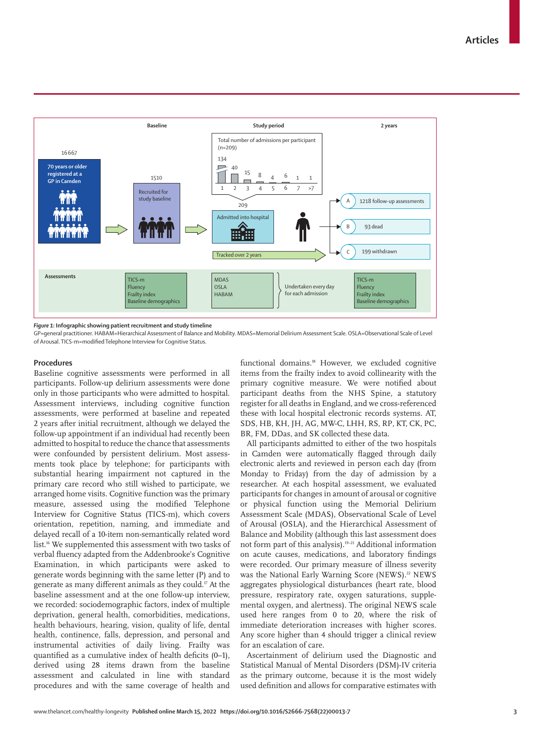**Articles**



*Figure 1:* **Infographic showing patient recruitment and study timeline**

GP=general practitioner. HABAM=Hierarchical Assessment of Balance and Mobility. MDAS=Memorial Delirium Assessment Scale. OSLA=Observational Scale of Level of Arousal. TICS-m=modified Telephone Interview for Cognitive Status.

## **Procedures**

Baseline cognitive assessments were performed in all participants. Follow-up delirium assessments were done only in those participants who were admitted to hospital. Assessment interviews, including cognitive function assessments, were performed at baseline and repeated 2 years after initial recruitment, although we delayed the follow-up appointment if an individual had recently been admitted to hospital to reduce the chance that assessments were confounded by persistent delirium. Most assessments took place by telephone; for participants with substantial hearing impairment not captured in the primary care record who still wished to participate, we arranged home visits. Cognitive function was the primary measure, assessed using the modified Telephone Interview for Cognitive Status (TICS-m), which covers orientation, repetition, naming, and immediate and delayed recall of a 10-item non-semantically related word list.16 We supplemented this assessment with two tasks of verbal fluency adapted from the Addenbrooke's Cognitive Examination, in which participants were asked to generate words beginning with the same letter (P) and to generate as many different animals as they could.17 At the baseline assessment and at the one follow-up interview, we recorded: sociodemographic factors, index of multiple deprivation, general health, comorbidities, medications, health behaviours, hearing, vision, quality of life, dental health, continence, falls, depression, and personal and instrumental activities of daily living. Frailty was quantified as a cumulative index of health deficits (0–1), derived using 28 items drawn from the baseline assessment and calculated in line with standard procedures and with the same coverage of health and functional domains.<sup>18</sup> However, we excluded cognitive items from the frailty index to avoid collinearity with the primary cognitive measure. We were notified about participant deaths from the NHS Spine, a statutory register for all deaths in England, and we cross-referenced these with local hospital electronic records systems. AT, SDS, HB, KH, JH, AG, MW-C, LHH, RS, RP, KT, CK, PC, BR, FM, DDas, and SK collected these data.

All participants admitted to either of the two hospitals in Camden were automatically flagged through daily electronic alerts and reviewed in person each day (from Monday to Friday) from the day of admission by a researcher. At each hospital assessment, we evaluated participants for changes in amount of arousal or cognitive or physical function using the Memorial Delirium Assessment Scale (MDAS), Observational Scale of Level of Arousal (OSLA), and the Hierarchical Assessment of Balance and Mobility (although this last assessment does not form part of this analysis).19–21 Additional information on acute causes, medications, and laboratory findings were recorded. Our primary measure of illness severity was the National Early Warning Score (NEWS).<sup>22</sup> NEWS aggregates physiological disturbances (heart rate, blood pressure, respiratory rate, oxygen saturations, supplemental oxygen, and alertness). The original NEWS scale used here ranges from 0 to 20, where the risk of immediate deterioration increases with higher scores. Any score higher than 4 should trigger a clinical review for an escalation of care.

Ascertainment of delirium used the Diagnostic and Statistical Manual of Mental Disorders (DSM)-IV criteria as the primary outcome, because it is the most widely used definition and allows for comparative estimates with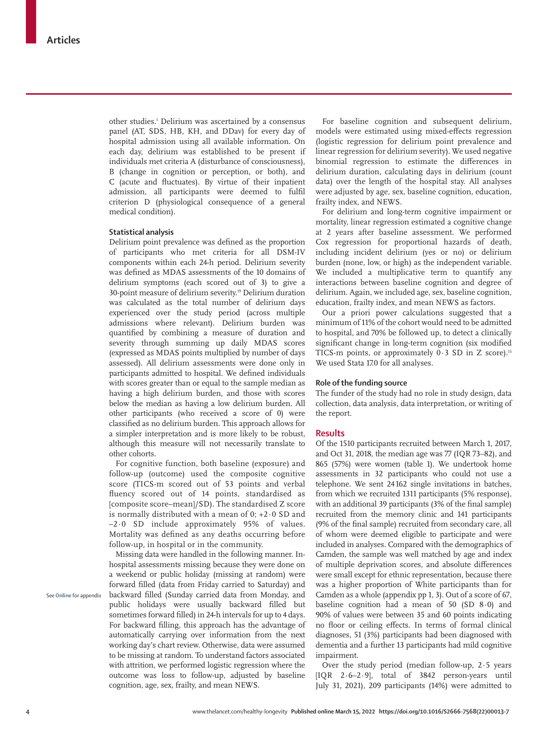other studies.1 Delirium was ascertained by a consensus panel (AT, SDS, HB, KH, and DDav) for every day of hospital admission using all available information. On each day, delirium was established to be present if individuals met criteria A (disturbance of consciousness), B (change in cognition or perception, or both), and C (acute and fluctuates). By virtue of their inpatient admission, all participants were deemed to fulfil criterion D (physiological consequence of a general medical condition).

## **Statistical analysis**

Delirium point prevalence was defined as the proportion of participants who met criteria for all DSM-IV components within each 24-h period. Delirium severity was defined as MDAS assessments of the 10 domains of delirium symptoms (each scored out of 3) to give a 30-point measure of delirium severity.19 Delirium duration was calculated as the total number of delirium days experienced over the study period (across multiple admissions where relevant). Delirium burden was quantified by combining a measure of duration and severity through summing up daily MDAS scores (expressed as MDAS points multiplied by number of days assessed). All delirium assessments were done only in participants admitted to hospital. We defined individuals with scores greater than or equal to the sample median as having a high delirium burden, and those with scores below the median as having a low delirium burden. All other participants (who received a score of 0) were classified as no delirium burden. This approach allows for a simpler interpretation and is more likely to be robust, although this measure will not necessarily translate to other cohorts.

For cognitive function, both baseline (exposure) and follow-up (outcome) used the composite cognitive score (TICS-m scored out of 53 points and verbal fluency scored out of 14 points, standardised as [composite score–mean]/SD). The standardised Z score is normally distributed with a mean of  $0; +2 \cdot 0$  SD and –2·0 SD include approximately 95% of values. Mortality was defined as any deaths occurring before follow-up, in hospital or in the community.

Missing data were handled in the following manner. Inhospital assessments missing because they were done on a weekend or public holiday (missing at random) were forward filled (data from Friday carried to Saturday) and backward filled (Sunday carried data from Monday, and public holidays were usually backward filled but sometimes forward filled) in 24-h intervals for up to 4 days. For backward filling, this approach has the advantage of automatically carrying over information from the next working day's chart review. Otherwise, data were assumed to be missing at random. To understand factors associated with attrition, we performed logistic regression where the outcome was loss to follow-up, adjusted by baseline cognition, age, sex, frailty, and mean NEWS.

For baseline cognition and subsequent delirium, models were estimated using mixed-effects regression (logistic regression for delirium point prevalence and linear regression for delirium severity). We used negative binomial regression to estimate the differences in delirium duration, calculating days in delirium (count data) over the length of the hospital stay. All analyses were adjusted by age, sex, baseline cognition, education, frailty index, and NEWS.

For delirium and long-term cognitive impairment or mortality, linear regression estimated a cognitive change at 2 years after baseline assessment. We performed Cox regression for proportional hazards of death, including incident delirium (yes or no) or delirium burden (none, low, or high) as the independent variable. We included a multiplicative term to quantify any interactions between baseline cognition and degree of delirium. Again, we included age, sex, baseline cognition, education, frailty index, and mean NEWS as factors.

Our a priori power calculations suggested that a minimum of 11% of the cohort would need to be admitted to hospital, and 70% be followed up, to detect a clinically significant change in long-term cognition (six modified TICS-m points, or approximately  $0.3$  SD in Z score).<sup>15</sup> We used Stata 17.0 for all analyses.

# **Role of the funding source**

The funder of the study had no role in study design, data collection, data analysis, data interpretation, or writing of the report.

## **Results**

Of the 1510 participants recruited between March 1, 2017, and Oct 31, 2018, the median age was 77 (IQR 73–82), and 865 (57%) were women (table 1). We undertook home assessments in 32 participants who could not use a telephone. We sent 24162 single invitations in batches, from which we recruited 1311 participants (5% response), with an additional 39 participants (3% of the final sample) recruited from the memory clinic and 141 participants (9% of the final sample) recruited from secondary care, all of whom were deemed eligible to participate and were included in analyses. Compared with the demographics of Camden, the sample was well matched by age and index of multiple deprivation scores, and absolute differences were small except for ethnic representation, because there was a higher proportion of White participants than for Camden as a whole (appendix pp 1, 3). Out of a score of 67, baseline cognition had a mean of 50 (SD 8·0) and 90% of values were between 35 and 60 points indicating no floor or ceiling effects. In terms of formal clinical diagnoses, 51 (3%) participants had been diagnosed with dementia and a further 13 participants had mild cognitive impairment.

Over the study period (median follow-up, 2·5 years [IQR 2·6–2·9], total of 3842 person-years until July 31, 2021), 209 participants (14%) were admitted to

See **Online** for appendix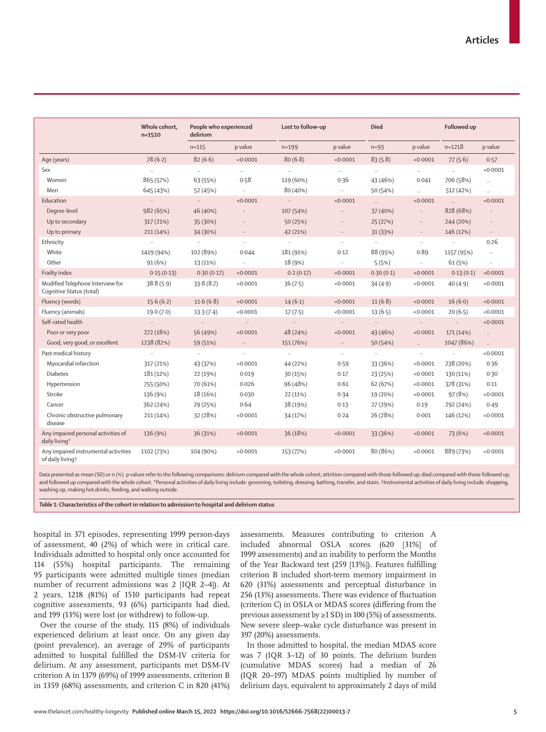|                                                              | Whole cohort,<br>$n = 1510$ | People who experienced<br>delirium |          | Lost to follow-up   |          | <b>Died</b>          |                      | Followed up |                     |
|--------------------------------------------------------------|-----------------------------|------------------------------------|----------|---------------------|----------|----------------------|----------------------|-------------|---------------------|
|                                                              |                             | $n = 115$                          | p value  | $n = 199$           | p value  | $n = 93$             | p value              | $n = 1218$  | p value             |
| Age (years)                                                  | 78(6.2)                     | 82(6.6)                            | < 0.0001 | 80(6.8)             | < 0.0001 | 83(5.8)              | < 0.0001             | 77(5.6)     | 0.57                |
| Sex                                                          | $\ddot{\phantom{1}}$        | $\ldots$                           | $\ldots$ | $\ldots$            | $\sim$   | $\ldots$             | $\ldots$             | $\sim$      | < 0.0001            |
| Women                                                        | 865 (57%)                   | 63 (55%)                           | 0.58     | 119 (60%)           | 0.36     | 43 (46%)             | 0.041                | 706 (58%)   | $\ldots$            |
| Men                                                          | 645 (43%)                   | 52 (45%)                           | $\ldots$ | 80 (40%)            | $\ldots$ | 50 (54%)             | $\ddot{\phantom{a}}$ | 512 (42%)   | $\mathbf{r}$        |
| Education                                                    | $\ldots$                    | $\sim$                             | < 0.0001 | $\ldots$            | < 0.0001 | $\ddot{\phantom{a}}$ | < 0.0001             | $\sim$      | < 0.0001            |
| Degree-level                                                 | 982 (65%)                   | 46 (40%)                           | $\ldots$ | 107 (54%)           | $\ldots$ | 37 (40%)             | $\ldots$             | 828 (68%)   | $\ldots$            |
| Up to secondary                                              | 317 (21%)                   | 35 (30%)                           | $\ldots$ | 50 (25%)            | $\ldots$ | 25(27%)              | $\ddots$             | 244 (20%)   | $\ldots$            |
| Up to primary                                                | 211 (14%)                   | 34 (30%)                           | $\cdots$ | 42 (21%)            | $\ldots$ | 31 (33%)             | $\cdots$             | 146 (12%)   | $\cdots$            |
| Ethnicity                                                    | $\bar{\mathcal{A}}$         | $\bar{\mathcal{A}}$                | $\ldots$ | $\bar{\mathcal{A}}$ | $\ldots$ | $\ldots$             | $\ddots$             | $\ldots$    | 0.26                |
| White                                                        | 1419 (94%)                  | 102 (89%)                          | 0.044    | 181 (91%)           | 0.12     | 88 (95%)             | 0.89                 | 1157 (95%)  | $\bar{\mathcal{A}}$ |
| Other                                                        | 91(6%)                      | 13 (11%)                           | $\cdots$ | 18 (9%)             | $\ldots$ | 5(5%)                | $\ldots$             | 61 (5%)     | $\cdots$            |
| Frailty index                                                | 0.15(0.13)                  | 0.30(0.17)                         | < 0.0001 | 0.2(0.17)           | < 0.0001 | 0.30(0.1)            | < 0.0001             | 0.13(0.1)   | < 0.0001            |
| Modified Telephone Interview for<br>Cognitive Status (total) | 38.8(5.9)                   | 33.8(8.7)                          | < 0.0001 | 36(7.5)             | < 0.0001 | 34(4.9)              | < 0.0001             | 40(4.9)     | < 0.0001            |
| Fluency (words)                                              | 15.6(6.2)                   | 11.6(6.8)                          | < 0.0001 | 14(6.1)             | < 0.0001 | 11(6.8)              | < 0.0001             | 16(6.0)     | < 0.0001            |
| Fluency (animals)                                            | 19.0(7.0)                   | 13.3(7.4)                          | < 0.0001 | 17(7.5)             | < 0.0001 | 13(6.5)              | < 0.0001             | 20(6.5)     | < 0.0001            |
| Self-rated health                                            | $\ldots$                    | $\ldots$                           | $\ldots$ | $\sim$              | $\ldots$ | $\ldots$             | $\cdots$             | $\ldots$    | < 0.0001            |
| Poor or very poor                                            | 272 (18%)                   | 56 (49%)                           | < 0.0001 | 48 (24%)            | < 0.0001 | 43 (46%)             | < 0.0001             | 171 (14%)   | $\ldots$            |
| Good, very good, or excellent                                | 1238 (82%)                  | 59 (51%)                           | $\ldots$ | 151 (76%)           | $\ldots$ | 50 (54%)             | $\mathbb{Z}^2$       | 1047 (86%)  | $\mathbb{R}^2$      |
| Past medical history                                         | $\bar{\mathcal{A}}$         | $\ldots$                           | $\ldots$ | $\ldots$            | $\cdot$  | $\ldots$             | $\ldots$             | $\ddotsc$   | < 0.0001            |
| Myocardial infarction                                        | 317 (21%)                   | 43 (37%)                           | < 0.0001 | 44 (22%)            | 0.59     | 33 (36%)             | < 0.0001             | 238 (20%)   | 0.36                |
| <b>Diabetes</b>                                              | 181 (12%)                   | 22 (19%)                           | 0.019    | 30 (15%)            | 0.17     | 23 (25%)             | < 0.0001             | 130 (11%)   | 0.30                |
| Hypertension                                                 | 755 (50%)                   | 70 (61%)                           | 0.026    | 96 (48%)            | 0.61     | 62 (67%)             | < 0.0001             | 378 (31%)   | 0.11                |
| Stroke                                                       | 136 (9%)                    | 18 (16%)                           | 0.030    | 22 (11%)            | 0.34     | 19 (20%)             | < 0.0001             | 97(8%)      | < 0.0001            |
| Cancer                                                       | 362 (24%)                   | 29 (25%)                           | 0.64     | 38 (19%)            | 0.13     | 27 (29%)             | 0.19                 | 292 (24%)   | 0.49                |
| Chronic obstructive pulmonary<br>disease                     | 211 (14%)                   | 32 (28%)                           | < 0.0001 | 34 (17%)            | 0.24     | 26 (28%)             | 0.001                | 146 (12%)   | < 0.0001            |
| Any impaired personal activities of<br>daily living*         | 136 (9%)                    | 36 (31%)                           | < 0.0001 | 36 (18%)            | < 0.0001 | 33 (36%)             | < 0.0001             | 73 (6%)     | < 0.0001            |
| Any impaired instrumental activities<br>of daily livingt     | 1102 (73%)                  | 104 (90%)                          | < 0.0001 | 153 (77%)           | < 0.0001 | 80 (86%)             | < 0.0001             | 889 (73%)   | < 0.0001            |

Data presented as mean (SD) or n (%). p values refer to the following comparisons: delirium compared with the whole cohort; attrition compared with those followed up; died compared with those followed up; and followed up compared with the whole cohort. \*Personal activities of daily living include: grooming, toileting, dressing, bathing, transfer, and stairs. †Instrumental activities of daily living include: shopping, washing up, making hot drinks, feeding, and walking outside.

*Table 1***: Characteristics of the cohort in relation to admission to hospital and delirium status**

hospital in 371 episodes, representing 1999 person-days of assessment, 40 (2%) of which were in critical care. Individuals admitted to hospital only once accounted for 114 (55%) hospital participants. The remaining 95 participants were admitted multiple times (median number of recurrent admissions was 2 [IQR 2–4]). At 2 years, 1218 (81%) of 1510 participants had repeat cognitive assessments, 93 (6%) participants had died, and 199 (13%) were lost (or withdrew) to follow-up.

Over the course of the study, 115 (8%) of individuals experienced delirium at least once. On any given day (point prevalence), an average of 29% of participants admitted to hospital fulfilled the DSM-IV criteria for delirium. At any assessment, participants met DSM-IV criterion A in 1379 (69%) of 1999 assessments, criterion B in 1359 (68%) assessments, and criterion C in 820 (41%) assessments. Measures contributing to criterion A included abnormal OSLA scores (620 [31%] of 1999 assessments) and an inability to perform the Months of the Year Backward test (259 [13%]). Features fulfilling criterion B included short-term memory impairment in 620 (31%) assessments and perceptual disturbance in 256 (13%) assessments. There was evidence of fluctuation (criterion C) in OSLA or MDAS scores (differing from the previous assessment by ≥1 SD) in 100 (5%) of assessments. New severe sleep–wake cycle disturbance was present in 397 (20%) assessments.

In those admitted to hospital, the median MDAS score was 7 (IQR 3–12) of 30 points. The delirium burden (cumulative MDAS scores) had a median of 26 (IQR 20–197) MDAS points multiplied by number of delirium days, equivalent to approximately 2 days of mild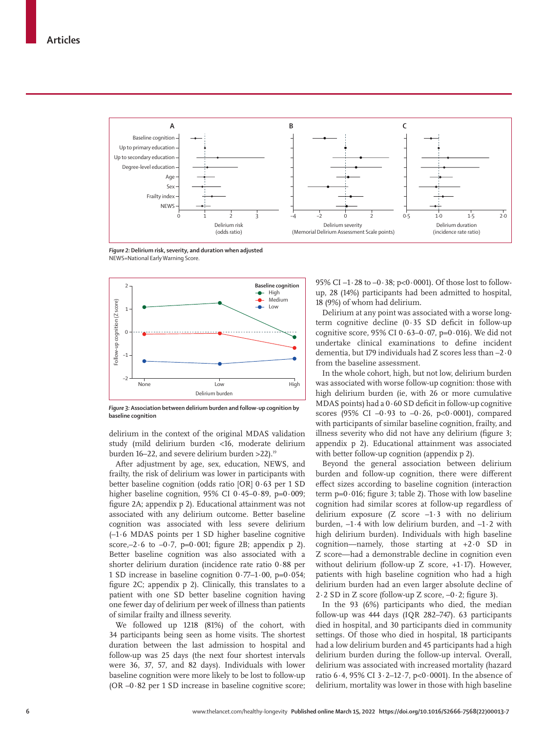

*Figure 2:* **Delirium risk, severity, and duration when adjusted** NEWS=National Early Warning Score.



*Figure 3:* **Association between delirium burden and follow-up cognition by baseline cognition**

delirium in the context of the original MDAS validation study (mild delirium burden <16, moderate delirium burden 16–22, and severe delirium burden >22).<sup>19</sup>

After adjustment by age, sex, education, NEWS, and frailty, the risk of delirium was lower in participants with better baseline cognition (odds ratio [OR] 0·63 per 1 SD higher baseline cognition, 95% CI 0 $-45-0.89$ , p=0 $-0.009$ ; figure 2A; appendix p 2). Educational attainment was not associated with any delirium outcome. Better baseline cognition was associated with less severe delirium (–1·6 MDAS points per 1 SD higher baseline cognitive score, $-2.6$  to  $-0.7$ ,  $p=0.001$ ; figure 2B; appendix p 2). Better baseline cognition was also associated with a shorter delirium duration (incidence rate ratio 0·88 per 1 SD increase in baseline cognition 0·77–1·00, p=0·054; figure 2C; appendix p 2). Clinically, this translates to a patient with one SD better baseline cognition having one fewer day of delirium per week of illness than patients of similar frailty and illness severity.

We followed up 1218 (81%) of the cohort, with 34 participants being seen as home visits. The shortest duration between the last admission to hospital and follow-up was 25 days (the next four shortest intervals were 36, 37, 57, and 82 days). Individuals with lower baseline cognition were more likely to be lost to follow-up  $(OR -0.82)$  per 1 SD increase in baseline cognitive score; 95% CI –1·28 to –0·38; p<0·0001). Of those lost to followup, 28 (14%) participants had been admitted to hospital, 18 (9%) of whom had delirium.

Delirium at any point was associated with a worse longterm cognitive decline (0·35 SD deficit in follow-up cognitive score, 95% CI  $0.63-0.07$ , p=0.016). We did not undertake clinical examinations to define incident dementia, but 179 individuals had Z scores less than –2·0 from the baseline assessment.

In the whole cohort, high, but not low, delirium burden was associated with worse follow-up cognition: those with high delirium burden (ie, with 26 or more cumulative MDAS points) had a 0·60 SD deficit in follow-up cognitive scores (95% CI  $-0.93$  to  $-0.26$ , p<0.0001), compared with participants of similar baseline cognition, frailty, and illness severity who did not have any delirium (figure 3; appendix p 2). Educational attainment was associated with better follow-up cognition (appendix p 2).

Beyond the general association between delirium burden and follow-up cognition, there were different effect sizes according to baseline cognition (interaction term  $p=0.016$ ; figure 3; table 2). Those with low baseline cognition had similar scores at follow-up regardless of delirium exposure (Z score –1·3 with no delirium burden, –1·4 with low delirium burden, and –1·2 with high delirium burden). Individuals with high baseline cognition—namely, those starting at +2·0 SD in Z score—had a demonstrable decline in cognition even without delirium (follow-up Z score, +1·17). However, patients with high baseline cognition who had a high delirium burden had an even larger absolute decline of 2·2 SD in Z score (follow-up Z score, –0·2; figure 3).

In the 93 (6%) participants who died, the median follow-up was 444 days (IQR 282–747). 63 participants died in hospital, and 30 participants died in community settings. Of those who died in hospital, 18 participants had a low delirium burden and 45 participants had a high delirium burden during the follow-up interval. Overall, delirium was associated with increased mortality (hazard ratio 6·4, 95% CI 3·2–12·7, p<0·0001). In the absence of delirium, mortality was lower in those with high baseline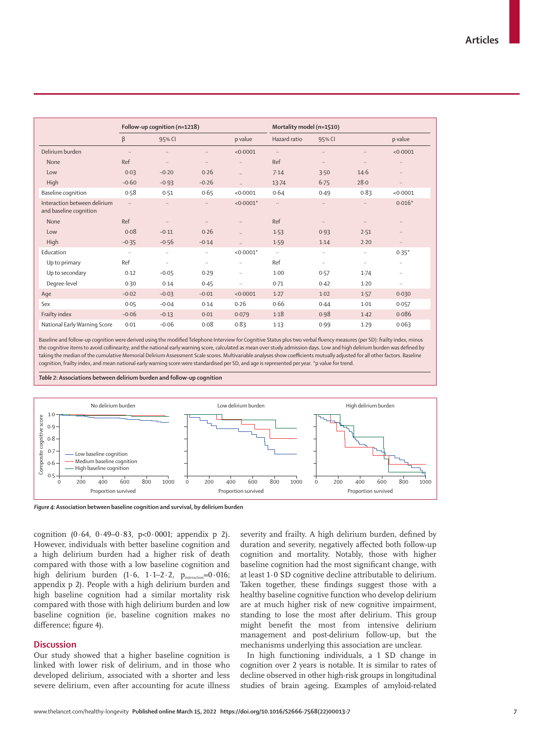|                                                        | Follow-up cognition (n=1218) |           |          |                      | Mortality model (n=1510) |           |           |          |
|--------------------------------------------------------|------------------------------|-----------|----------|----------------------|--------------------------|-----------|-----------|----------|
|                                                        | $\beta$                      | 95% CI    |          | p value              | Hazard ratio             | 95% CI    |           | p value  |
| Delirium burden                                        | $\ldots$                     |           |          | < 0.0001             | $\ldots$                 | $\cdots$  | $\cdots$  | < 0.0001 |
| None                                                   | Ref                          |           | $\ldots$ | $\ddotsc$            | Ref                      | $\ldots$  | $\cdots$  | $\ldots$ |
| Low                                                    | 0.03                         | $-0.20$   | 0.26     | $\ddotsc$            | 7.14                     | 3.50      | $14 - 6$  | $\ldots$ |
| High                                                   | $-0.60$                      | $-0.93$   | $-0.26$  | $\ddot{\phantom{a}}$ | 13.74                    | $6 - 75$  | 28.0      | $\ldots$ |
| Baseline cognition                                     | 0.58                         | 0.51      | 0.65     | < 0.0001             | 0.64                     | 0.49      | 0.83      | < 0.0001 |
| Interaction between delirium<br>and baseline cognition | $\ddotsc$                    | $\ddotsc$ | $\ldots$ | $< 0.0001$ *         | $\ldots$                 | $\ldots$  | $\ddotsc$ | $0.016*$ |
| None                                                   | Ref                          |           | $\ldots$ | $\ddotsc$            | Ref                      | $\ldots$  | $\ddotsc$ | $\ldots$ |
| Low                                                    | 0.08                         | $-0.11$   | 0.26     | $\ddotsc$            | 1.53                     | 0.93      | 2.51      | $\ldots$ |
| High                                                   | $-0.35$                      | $-0.56$   | $-0.14$  | $\ddot{\phantom{1}}$ | 1.59                     | 1.14      | 2.20      | $\cdots$ |
| Education                                              | $\ddots$                     | $\ldots$  | $\ldots$ | $< 0.0001*$          | $\ldots$                 | $\ldots$  | $\ddotsc$ | $0.35*$  |
| Up to primary                                          | Ref                          |           | $\ldots$ | $\ddotsc$            | Ref                      | $\ddotsc$ | $\ddotsc$ | $\ddots$ |
| Up to secondary                                        | 0.12                         | $-0.05$   | 0.29     |                      | 1.00                     | 0.57      | 1.74      | $\ldots$ |
| Degree-level                                           | 0.30                         | 0.14      | 0.45     | $\ddotsc$            | 0.71                     | 0.42      | $1-20$    | $\ddots$ |
| Age                                                    | $-0.02$                      | $-0.03$   | $-0.01$  | < 0.0001             | 1.27                     | 1.02      | 1.57      | 0.030    |
| Sex                                                    | 0.05                         | $-0.04$   | 0.14     | 0.26                 | 0.66                     | 0.44      | 1.01      | 0.057    |
| Frailty index                                          | $-0.06$                      | $-0.13$   | 0.01     | 0.079                | 1.18                     | 0.98      | 1.42      | 0.086    |
| National Early Warning Score                           | 0.01                         | $-0.06$   | 0.08     | 0.83                 | 1.13                     | 0.99      | 1.29      | 0.063    |

Baseline and follow-up cognition were derived using the modified Telephone Interview for Cognitive Status plus two verbal fluency measures (per SD): frailty index, minus the cognitive items to avoid collinearity; and the national early warning score, calculated as mean over study admission days. Low and high delirium burden was defined by taking the median of the cumulative Memorial Delirium Assessment Scale scores. Multivariable analyses show coefficients mutually adjusted for all other factors. Baseline cognition, frailty index, and mean national early warning score were standardised per SD, and age is represented per year. \*p value for trend.

#### *Table 2:* **Associations between delirium burden and follow-up cognition**



*Figure 4:* **Association between baseline cognition and survival, by delirium burden**

cognition  $(0.64, 0.49-0.83, p<0.0001;$  appendix p 2). However, individuals with better baseline cognition and a high delirium burden had a higher risk of death compared with those with a low baseline cognition and high delirium burden  $(1.6, 1.1-2.2, p_{interaction}=0.016;$ appendix p 2). People with a high delirium burden and high baseline cognition had a similar mortality risk compared with those with high delirium burden and low baseline cognition (ie, baseline cognition makes no difference; figure 4).

## **Discussion**

Our study showed that a higher baseline cognition is linked with lower risk of delirium, and in those who developed delirium, associated with a shorter and less severe delirium, even after accounting for acute illness

severity and frailty. A high delirium burden, defined by duration and severity, negatively affected both follow-up cognition and mortality. Notably, those with higher baseline cognition had the most significant change, with at least 1·0 SD cognitive decline attributable to delirium. Taken together, these findings suggest those with a healthy baseline cognitive function who develop delirium are at much higher risk of new cognitive impairment, standing to lose the most after delirium. This group might benefit the most from intensive delirium management and post-delirium follow-up, but the mechanisms underlying this association are unclear.

In high functioning individuals, a 1 SD change in cognition over 2 years is notable. It is similar to rates of decline observed in other high-risk groups in longitudinal studies of brain ageing. Examples of amyloid-related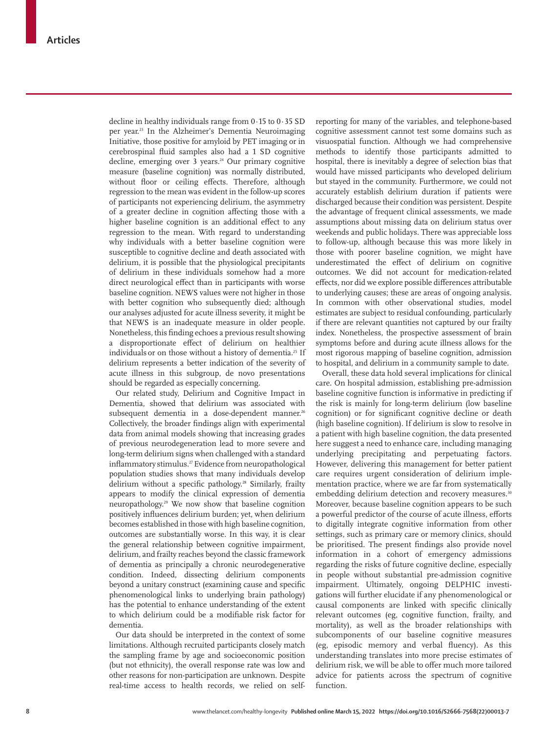decline in healthy individuals range from  $0.15$  to  $0.35$  SD per year.<sup>23</sup> In the Alzheimer's Dementia Neuroimaging Initiative, those positive for amyloid by PET imaging or in cerebrospinal fluid samples also had a 1 SD cognitive decline, emerging over 3 years.<sup>24</sup> Our primary cognitive measure (baseline cognition) was normally distributed, without floor or ceiling effects. Therefore, although regression to the mean was evident in the follow-up scores of participants not experiencing delirium, the asymmetry of a greater decline in cognition affecting those with a higher baseline cognition is an additional effect to any regression to the mean. With regard to understanding why individuals with a better baseline cognition were susceptible to cognitive decline and death associated with delirium, it is possible that the physiological precipitants of delirium in these individuals somehow had a more direct neurological effect than in participants with worse baseline cognition. NEWS values were not higher in those with better cognition who subsequently died; although our analyses adjusted for acute illness severity, it might be that NEWS is an inadequate measure in older people. Nonetheless, this finding echoes a previous result showing a disproportionate effect of delirium on healthier individuals or on those without a history of dementia.<sup>25</sup> If delirium represents a better indication of the severity of acute illness in this subgroup, de novo presentations should be regarded as especially concerning.

Our related study, Delirium and Cognitive Impact in Dementia, showed that delirium was associated with subsequent dementia in a dose-dependent manner.<sup>26</sup> Collectively, the broader findings align with experimental data from animal models showing that increasing grades of previous neurodegeneration lead to more severe and long-term delirium signs when challenged with a standard inflammatory stimulus.<sup>27</sup> Evidence from neuropathological population studies shows that many individuals develop delirium without a specific pathology.<sup>28</sup> Similarly, frailty appears to modify the clinical expression of dementia neuropathology.29 We now show that baseline cognition positively influences delirium burden; yet, when delirium becomes established in those with high baseline cognition, outcomes are substantially worse. In this way, it is clear the general relationship between cognitive impairment, delirium, and frailty reaches beyond the classic framework of dementia as principally a chronic neurodegenerative condition. Indeed, dissecting delirium components beyond a unitary construct (examining cause and specific phenomenological links to underlying brain pathology) has the potential to enhance understanding of the extent to which delirium could be a modifiable risk factor for dementia.

Our data should be interpreted in the context of some limitations. Although recruited participants closely match the sampling frame by age and socioeconomic position (but not ethnicity), the overall response rate was low and other reasons for non-participation are unknown. Despite real-time access to health records, we relied on selfreporting for many of the variables, and telephone-based cognitive assessment cannot test some domains such as visuospatial function. Although we had comprehensive methods to identify those participants admitted to hospital, there is inevitably a degree of selection bias that would have missed participants who developed delirium but stayed in the community. Furthermore, we could not accurately establish delirium duration if patients were discharged because their condition was persistent. Despite the advantage of frequent clinical assessments, we made assumptions about missing data on delirium status over weekends and public holidays. There was appreciable loss to follow-up, although because this was more likely in those with poorer baseline cognition, we might have underestimated the effect of delirium on cognitive outcomes. We did not account for medication-related effects, nor did we explore possible differences attributable to underlying causes; these are areas of ongoing analysis. In common with other observational studies, model estimates are subject to residual confounding, particularly if there are relevant quantities not captured by our frailty index. Nonetheless, the prospective assessment of brain symptoms before and during acute illness allows for the most rigorous mapping of baseline cognition, admission to hospital, and delirium in a community sample to date.

Overall, these data hold several implications for clinical care. On hospital admission, establishing pre-admission baseline cognitive function is informative in predicting if the risk is mainly for long-term delirium (low baseline cognition) or for significant cognitive decline or death (high baseline cognition). If delirium is slow to resolve in a patient with high baseline cognition, the data presented here suggest a need to enhance care, including managing underlying precipitating and perpetuating factors. However, delivering this management for better patient care requires urgent consideration of delirium implementation practice, where we are far from systematically embedding delirium detection and recovery measures.<sup>30</sup> Moreover, because baseline cognition appears to be such a powerful predictor of the course of acute illness, efforts to digitally integrate cognitive information from other settings, such as primary care or memory clinics, should be prioritised. The present findings also provide novel information in a cohort of emergency admissions regarding the risks of future cognitive decline, especially in people without substantial pre-admission cognitive impairment. Ultimately, ongoing DELPHIC investigations will further elucidate if any phenomenological or causal components are linked with specific clinically relevant outcomes (eg, cognitive function, frailty, and mortality), as well as the broader relationships with subcomponents of our baseline cognitive measures (eg, episodic memory and verbal fluency). As this understanding translates into more precise estimates of delirium risk, we will be able to offer much more tailored advice for patients across the spectrum of cognitive function.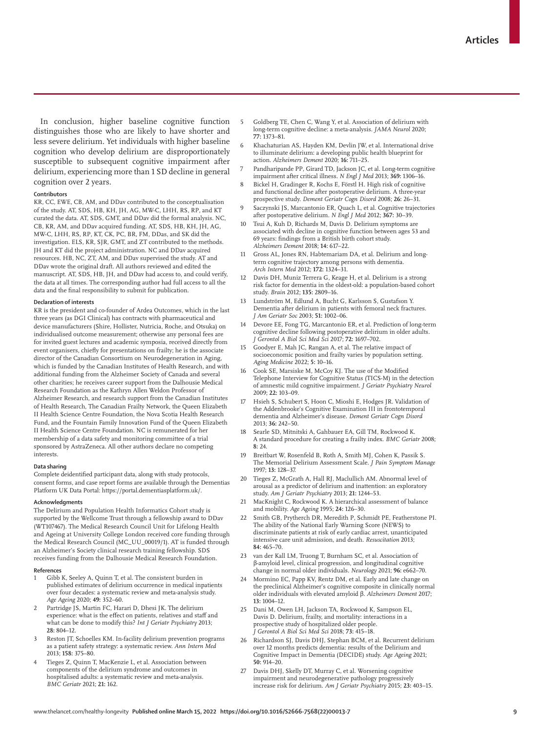In conclusion, higher baseline cognitive function distinguishes those who are likely to have shorter and less severe delirium. Yet individuals with higher baseline cognition who develop delirium are disproportionately susceptible to subsequent cognitive impairment after delirium, experiencing more than 1 SD decline in general cognition over 2 years.

#### **Contributors**

KR, CC, EWE, CB, AM, and DDav contributed to the conceptualisation of the study. AT, SDS, HB, KH, JH, AG, MW-C, LHH, RS, RP, and KT curated the data. AT, SDS, GMT, and DDav did the formal analysis. NC, CB, KR, AM, and DDav acquired funding. AT, SDS, HB, KH, JH, AG, MW-C, LHH, RS, RP, KT, CK, PC, BR, FM, DDas, and SK did the investigation. ELS, KR, SJR, GMT, and ZT contributed to the methods. JH and KT did the project administration. NC and DDav acquired resources. HB, NC, ZT, AM, and DDav supervised the study. AT and DDav wrote the original draft. All authors reviewed and edited the manuscript. AT, SDS, HB, JH, and DDav had access to, and could verify, the data at all times. The corresponding author had full access to all the data and the final responsibility to submit for publication.

#### **Declaration of interests**

KR is the president and co-founder of Ardea Outcomes, which in the last three years (as DGI Clinical) has contracts with pharmaceutical and device manufacturers (Shire, Hollister, Nutricia, Roche, and Otsuka) on individualised outcome measurement; otherwise any personal fees are for invited guest lectures and academic symposia, received directly from event organisers, chiefly for presentations on frailty; he is the associate director of the Canadian Consortium on Neurodegeneration in Aging, which is funded by the Canadian Institutes of Health Research, and with additional funding from the Alzheimer Society of Canada and several other charities; he receives career support from the Dalhousie Medical Research Foundation as the Kathryn Allen Weldon Professor of Alzheimer Research, and research support from the Canadian Institutes of Health Research, The Canadian Frailty Network, the Queen Elizabeth II Health Science Centre Foundation, the Nova Scotia Health Research Fund, and the Fountain Family Innovation Fund of the Queen Elizabeth II Health Science Centre Foundation. NC is remunerated for her membership of a data safety and monitoring committee of a trial sponsored by AstraZeneca. All other authors declare no competing interests.

#### **Data sharing**

Complete deidentified participant data, along with study protocols, consent forms, and case report forms are available through the Dementias Platform UK Data Portal: [https://portal.dementiasplatform.uk/.](https://portal.dementiasplatform.uk/)

#### **Acknowledgments**

The Delirium and Population Health Informatics Cohort study is supported by the Wellcome Trust through a fellowship award to DDav (WT107467). The Medical Research Council Unit for Lifelong Health and Ageing at University College London received core funding through the Medical Research Council (MC\_UU\_00019/1). AT is funded through an Alzheimer's Society clinical research training fellowship. SDS receives funding from the Dalhousie Medical Research Foundation.

#### **References**

- 1 Gibb K, Seeley A, Quinn T, et al. The consistent burden in published estimates of delirium occurrence in medical inpatients over four decades: a systematic review and meta-analysis study. *Age Ageing* 2020; **49:** 352–60.
- Partridge JS, Martin FC, Harari D, Dhesi JK. The delirium experience: what is the effect on patients, relatives and staff and what can be done to modify this? *Int J Geriatr Psychiatry* 2013; **28:** 804–12.
- Reston JT, Schoelles KM. In-facility delirium prevention programs as a patient safety strategy: a systematic review. *Ann Intern Med* 2013; **158:** 375–80.
- 4 Tieges Z, Quinn T, MacKenzie L, et al. Association between components of the delirium syndrome and outcomes in hospitalised adults: a systematic review and meta-analysis. *BMC Geriatr* 2021; **21:** 162.
- 5 Goldberg TE, Chen C, Wang Y, et al. Association of delirium with long-term cognitive decline: a meta-analysis. *JAMA Neurol* 2020; **77:** 1373–81.
- Khachaturian AS, Hayden KM, Devlin JW, et al. International drive to illuminate delirium: a developing public health blueprint for action. *Alzheimers Dement* 2020; **16:** 711–25.
- 7 Pandharipande PP, Girard TD, Jackson JC, et al. Long-term cognitive impairment after critical illness. *N Engl J Med* 2013; **369:** 1306–16.
- 8 Bickel H, Gradinger R, Kochs E, Förstl H. High risk of cognitive and functional decline after postoperative delirium. A three-year prospective study. *Dement Geriatr Cogn Disord* 2008; **26:** 26–31.
- 9 Saczynski JS, Marcantonio ER, Quach L, et al. Cognitive trajectories after postoperative delirium. *N Engl J Med* 2012; **367:** 30–39.
- 10 Tsui A, Kuh D, Richards M, Davis D. Delirium symptoms are associated with decline in cognitive function between ages 53 and 69 years: findings from a British birth cohort study. *Alzheimers Dement* 2018; **14:** 617–22.
- 11 Gross AL, Jones RN, Habtemariam DA, et al. Delirium and longterm cognitive trajectory among persons with dementia. *Arch Intern Med* 2012; **172:** 1324–31.
- 12 Davis DH, Muniz Terrera G, Keage H, et al. Delirium is a strong risk factor for dementia in the oldest-old: a population-based cohort study. *Brain* 2012; **135:** 2809–16.
- Lundström M, Edlund A, Bucht G, Karlsson S, Gustafson Y. Dementia after delirium in patients with femoral neck fractures. *J Am Geriatr Soc* 2003; **51:** 1002–06.
- 14 Devore EE, Fong TG, Marcantonio ER, et al. Prediction of long-term cognitive decline following postoperative delirium in older adults. *J Gerontol A Biol Sci Med Sci* 2017; **72:** 1697–702.
- 15 Goodyer E, Mah JC, Rangan A, et al. The relative impact of socioeconomic position and frailty varies by population setting. *Aging Medicine* 2022; **5:** 10–16.
- 16 Cook SE, Marsiske M, McCoy KJ. The use of the Modified Telephone Interview for Cognitive Status (TICS-M) in the detection of amnestic mild cognitive impairment. *J Geriatr Psychiatry Neurol* 2009; **22:** 103–09.
- 17 Hsieh S, Schubert S, Hoon C, Mioshi E, Hodges JR. Validation of the Addenbrooke's Cognitive Examination III in frontotemporal dementia and Alzheimer's disease. *Dement Geriatr Cogn Disord* 2013; **36:** 242–50.
- Searle SD, Mitnitski A, Gahbauer EA, Gill TM, Rockwood K. A standard procedure for creating a frailty index. *BMC Geriatr* 2008; **8:** 24.
- 19 Breitbart W, Rosenfeld B, Roth A, Smith MJ, Cohen K, Passik S. The Memorial Delirium Assessment Scale. *J Pain Symptom Manage* 1997; **13:** 128–37.
- 20 Tieges Z, McGrath A, Hall RJ, Maclullich AM. Abnormal level of arousal as a predictor of delirium and inattention: an exploratory study. *Am J Geriatr Psychiatry* 2013; **21:** 1244–53.
- MacKnight C, Rockwood K. A hierarchical assessment of balance and mobility. *Age Ageing* 1995; **24:** 126–30.
- 22 Smith GB, Prytherch DR, Meredith P, Schmidt PE, Featherstone PI. The ability of the National Early Warning Score (NEWS) to discriminate patients at risk of early cardiac arrest, unanticipated intensive care unit admission, and death. *Resuscitation* 2013; **84:** 465–70.
- 23 van der Kall LM, Truong T, Burnham SC, et al. Association of β-amyloid level, clinical progression, and longitudinal cognitive change in normal older individuals. *Neurology* 2021; **96:** e662–70.
- Mormino EC, Papp KV, Rentz DM, et al. Early and late change on the preclinical Alzheimer's cognitive composite in clinically normal older individuals with elevated amyloid β. *Alzheimers Dement* 2017; **13:** 1004–12.
- 25 Dani M, Owen LH, Jackson TA, Rockwood K, Sampson EL, Davis D. Delirium, frailty, and mortality: interactions in a prospective study of hospitalized older people. *J Gerontol A Biol Sci Med Sci* 2018; **73:** 415–18.
- 26 Richardson SJ, Davis DHJ, Stephan BCM, et al. Recurrent delirium over 12 months predicts dementia: results of the Delirium and Cognitive Impact in Dementia (DECIDE) study. *Age Ageing* 2021; **50:** 914–20.
- Davis DHJ, Skelly DT, Murray C, et al. Worsening cognitive impairment and neurodegenerative pathology progressively increase risk for delirium. *Am J Geriatr Psychiatry* 2015; **23:** 403–15.